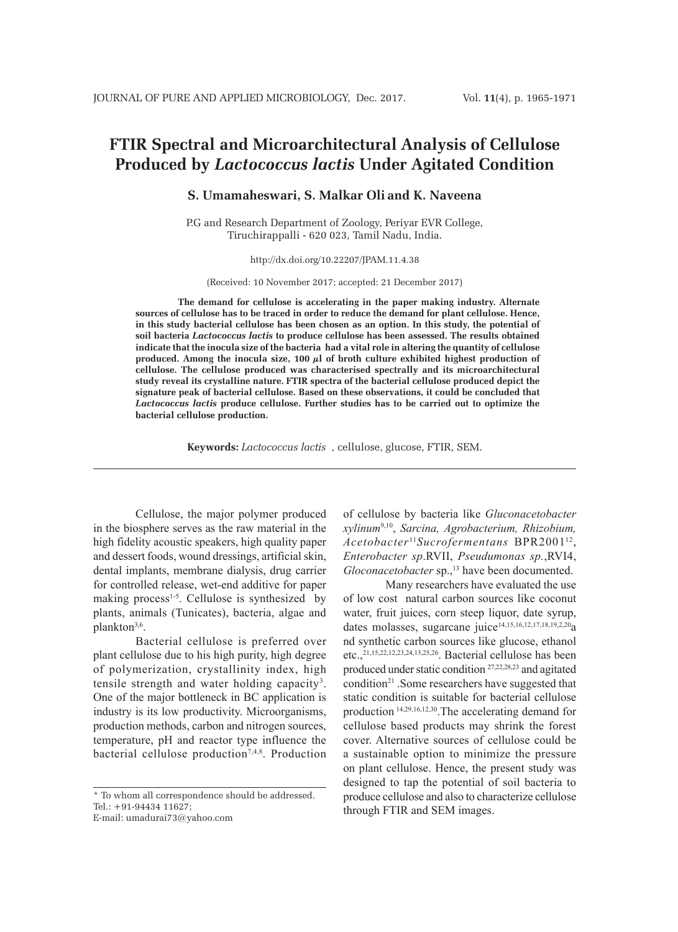# **FTIR Spectral and Microarchitectural Analysis of Cellulose Produced by** *Lactococcus lactis* **Under Agitated Condition**

**S. Umamaheswari, S. Malkar Oli and K. Naveena**

P.G and Research Department of Zoology, Periyar EVR College, Tiruchirappalli - 620 023, Tamil Nadu, India.

http://dx.doi.org/10.22207/JPAM.11.4.38

(Received: 10 November 2017; accepted: 21 December 2017)

**The demand for cellulose is accelerating in the paper making industry. Alternate sources of cellulose has to be traced in order to reduce the demand for plant cellulose. Hence, in this study bacterial cellulose has been chosen as an option. In this study, the potential of soil bacteria** *Lactococcus lactis* **to produce cellulose has been assessed. The results obtained indicate that the inocula size of the bacteria had a vital role in altering the quantity of cellulose produced. Among the inocula size, 100 µl of broth culture exhibited highest production of cellulose. The cellulose produced was characterised spectrally and its microarchitectural study reveal its crystalline nature. FTIR spectra of the bacterial cellulose produced depict the signature peak of bacterial cellulose. Based on these observations, it could be concluded that**  *Lactococcus lactis* **produce cellulose. Further studies has to be carried out to optimize the bacterial cellulose production.**

**Keywords:** *Lactococcus lactis* , cellulose, glucose, FTIR, SEM.

Cellulose, the major polymer produced in the biosphere serves as the raw material in the high fidelity acoustic speakers, high quality paper and dessert foods, wound dressings, artificial skin, dental implants, membrane dialysis, drug carrier for controlled release, wet-end additive for paper making process<sup>1-5</sup>. Cellulose is synthesized by plants, animals (Tunicates), bacteria, algae and plankton<sup>3,6</sup>.

Bacterial cellulose is preferred over plant cellulose due to his high purity, high degree of polymerization, crystallinity index, high tensile strength and water holding capacity<sup>3</sup>. One of the major bottleneck in BC application is industry is its low productivity. Microorganisms, production methods, carbon and nitrogen sources, temperature, pH and reactor type influence the bacterial cellulose production<sup>7,4,8</sup>. Production

\* To whom all correspondence should be addressed. Tel.: +91-94434 11627;

E-mail: umadurai73@yahoo.com

of cellulose by bacteria like *Gluconacetobacter xylinum*9,10, *Sarcina, Agrobacterium, Rhizobium, Acetobacter* <sup>11</sup>*Sucrofermentans* BPR200112, *Enterobacter sp*.RVII, *Pseudumonas sp.*,RVI4, *Gloconacetobacter* sp.,<sup>13</sup> have been documented.

Many researchers have evaluated the use of low cost natural carbon sources like coconut water, fruit juices, corn steep liquor, date syrup, dates molasses, sugarcane juice<sup>14,15,16,12,17,18,19,2,20</sup>a nd synthetic carbon sources like glucose, ethanol etc.,21,15,22,12,23,24,13,25,26. Bacterial cellulose has been produced under static condition 27,22,28,23 and agitated condition21 .Some researchers have suggested that static condition is suitable for bacterial cellulose production 14,29,16,12,30.The accelerating demand for cellulose based products may shrink the forest cover. Alternative sources of cellulose could be a sustainable option to minimize the pressure on plant cellulose. Hence, the present study was designed to tap the potential of soil bacteria to produce cellulose and also to characterize cellulose through FTIR and SEM images.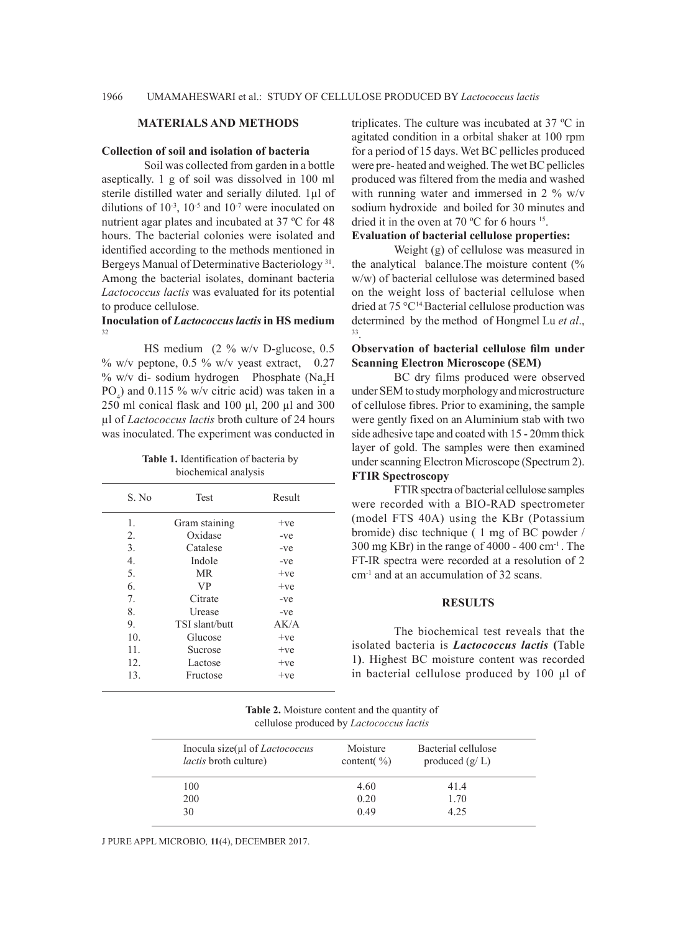### **MATERIALS AND METHODS**

#### **Collection of soil and isolation of bacteria**

Soil was collected from garden in a bottle aseptically. 1 g of soil was dissolved in 100 ml sterile distilled water and serially diluted. 1µl of dilutions of  $10^{-3}$ ,  $10^{-5}$  and  $10^{-7}$  were inoculated on nutrient agar plates and incubated at 37 ºC for 48 hours. The bacterial colonies were isolated and identified according to the methods mentioned in Bergeys Manual of Determinative Bacteriology 31. Among the bacterial isolates, dominant bacteria *Lactococcus lactis* was evaluated for its potential to produce cellulose.

#### **Inoculation of** *Lactococcus lactis* **in HS medium** 32

HS medium (2 % w/v D-glucose, 0.5  $\%$  w/v peptone, 0.5 % w/v yeast extract, 0.27 % w/v di- sodium hydrogen Phosphate (Na<sub>2</sub>H)  $PO_4$ ) and 0.115 % w/v citric acid) was taken in a 250 ml conical flask and 100 µl, 200 µl and 300 µl of *Lactococcus lactis* broth culture of 24 hours was inoculated. The experiment was conducted in

| S. No            | <b>Test</b>    | Result |
|------------------|----------------|--------|
| $\mathbf{1}$ .   | Gram staining  | $+ve$  |
| 2.               | Oxidase        | -ve    |
| 3.               | Catalese       | -ve    |
| $\overline{4}$ . | Indole         | -ve    |
| 5.               | <b>MR</b>      | $+ve$  |
| 6.               | <b>VP</b>      | $+ve$  |
| 7 <sub>1</sub>   | Citrate        | $-ve$  |
| 8.               | Urease         | -ve    |
| 9.               | TSI slant/butt | AK/A   |
| 10 <sub>1</sub>  | Glucose        | $+ve$  |
| 11.              | Sucrose        | $+ve$  |
| 12.              | Lactose        | $+ve$  |
| 13.              | Fructose       | $+ve$  |
|                  |                |        |

**Table 1.** Identification of bacteria by biochemical analysis

triplicates. The culture was incubated at 37 ºC in agitated condition in a orbital shaker at 100 rpm for a period of 15 days. Wet BC pellicles produced were pre- heated and weighed. The wet BC pellicles produced was filtered from the media and washed with running water and immersed in 2 % w/v sodium hydroxide and boiled for 30 minutes and dried it in the oven at 70 ºC for 6 hours 15.

# **Evaluation of bacterial cellulose properties:**

Weight (g) of cellulose was measured in the analytical balance.The moisture content (% w/w) of bacterial cellulose was determined based on the weight loss of bacterial cellulose when dried at 75 °C<sup>14</sup>. Bacterial cellulose production was determined by the method of Hongmel Lu et al.,

# **Observation of bacterial cellulose film under Scanning Electron Microscope (SEM)**

BC dry films produced were observed under SEM to study morphology and microstructure of cellulose fibres. Prior to examining, the sample were gently fixed on an Aluminium stab with two side adhesive tape and coated with 15 - 20mm thick layer of gold. The samples were then examined under scanning Electron Microscope (Spectrum 2). **FTIR Spectroscopy** 

# FTIR spectra of bacterial cellulose samples were recorded with a BIO-RAD spectrometer (model FTS 40A) using the KBr (Potassium bromide) disc technique ( 1 mg of BC powder /  $300 \text{ mg}$  KBr) in the range of  $4000 - 400 \text{ cm}^{-1}$ . The FT-IR spectra were recorded at a resolution of 2 cm-1 and at an accumulation of 32 scans.

### **RESULTS**

The biochemical test reveals that the isolated bacteria is *Lactococcus lactis* **(**Table 1**)**. Highest BC moisture content was recorded in bacterial cellulose produced by 100 µl of

**Table 2.** Moisture content and the quantity of cellulose produced by *Lactococcus lactis*

| Inocula size(µl of <i>Lactococcus</i><br><i>lactis</i> broth culture) | Moisture<br>content( $\%$ ) | Bacterial cellulose<br>produced $(g/L)$ |  |
|-----------------------------------------------------------------------|-----------------------------|-----------------------------------------|--|
| 100                                                                   | 4.60                        | 414                                     |  |
| 200                                                                   | 0.20                        | 1.70                                    |  |
| 30                                                                    | 0.49                        | 4 25                                    |  |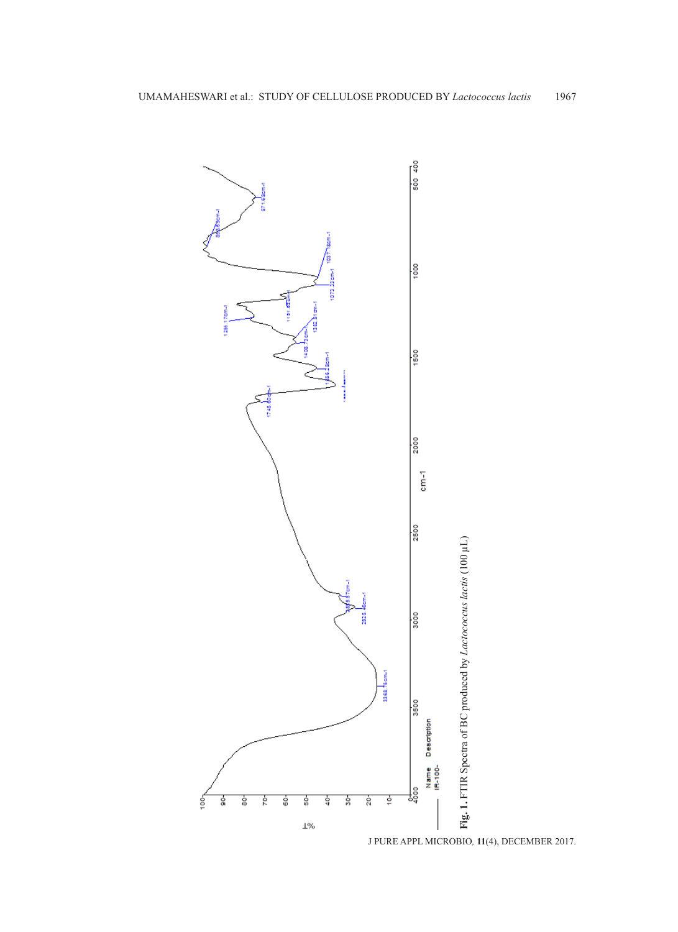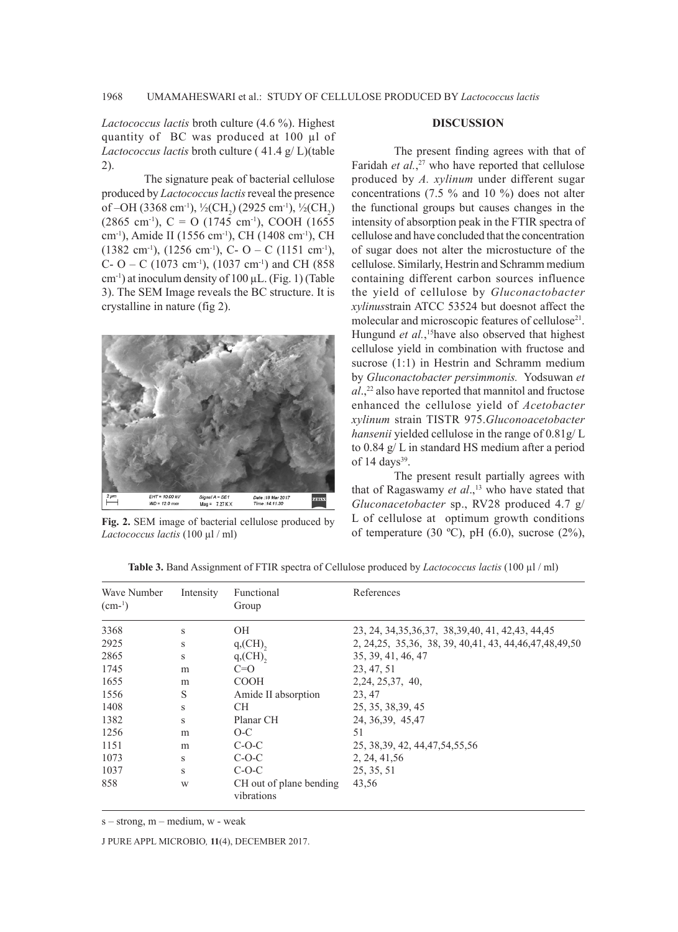*Lactococcus lactis* broth culture (4.6 %). Highest quantity of BC was produced at 100 µl of *Lactococcus lactis* broth culture ( 41.4 g/ L)(table 2).

The signature peak of bacterial cellulose produced by *Lactococcus lactis* reveal the presence of –OH (3368 cm<sup>-1</sup>), <sup>1</sup>/<sub>2</sub>(CH<sub>2</sub>) (2925 cm<sup>-1</sup>), <sup>1</sup>/<sub>2</sub>(CH<sub>2</sub>)  $(2865 \text{ cm}^{-1})$ , C = O  $(1745 \text{ cm}^{-1})$ , COOH  $(1655 \text{ cm}^{-1})$ cm-1), Amide II (1556 cm-1), CH (1408 cm-1), CH  $(1382 \text{ cm}^{-1})$ ,  $(1256 \text{ cm}^{-1})$ , C- O – C  $(1151 \text{ cm}^{-1})$ , C- O – C (1073 cm<sup>-1</sup>), (1037 cm<sup>-1</sup>) and CH (858  $cm^{-1}$ ) at inoculum density of 100 µL. (Fig. 1) (Table 3). The SEM Image reveals the BC structure. It is crystalline in nature (fig 2).



**Fig. 2.** SEM image of bacterial cellulose produced by *Lactococcus lactis* (100 µl / ml)

## **DISCUSSION**

The present finding agrees with that of Faridah *et al.*<sup>27</sup> who have reported that cellulose produced by *A. xylinum* under different sugar concentrations (7.5 % and 10 %) does not alter the functional groups but causes changes in the intensity of absorption peak in the FTIR spectra of cellulose and have concluded that the concentration of sugar does not alter the microstucture of the cellulose. Similarly, Hestrin and Schramm medium containing different carbon sources influence the yield of cellulose by *Gluconactobacter xylinus*strain ATCC 53524 but doesnot affect the molecular and microscopic features of cellulose<sup>21</sup>. Hungund *et al.*,<sup>15</sup> have also observed that highest cellulose yield in combination with fructose and sucrose (1:1) in Hestrin and Schramm medium by *Gluconactobacter persimmonis.* Yodsuwan *et al*.,<sup>22</sup> also have reported that mannitol and fructose enhanced the cellulose yield of *Acetobacter xylinum* strain TISTR 975.*Gluconoacetobacter hansenii* yielded cellulose in the range of 0.81g/ L to 0.84 g/ L in standard HS medium after a period of 14 days<sup>39</sup>.

The present result partially agrees with that of Ragaswamy *et al.*,<sup>13</sup> who have stated that *Gluconacetobacter* sp., RV28 produced 4.7 g/ L of cellulose at optimum growth conditions of temperature (30 °C), pH (6.0), sucrose (2%),

| Wave Number<br>$(cm-1)$ | Intensity | Functional<br>Group                   | References                                                    |
|-------------------------|-----------|---------------------------------------|---------------------------------------------------------------|
| 3368                    | S         | <b>OH</b>                             | 23, 24, 34, 35, 36, 37, 38, 39, 40, 41, 42, 43, 44, 45        |
| 2925                    | S         | $q$ , $(CH)$ ,                        | 2, 24, 25, 35, 36, 38, 39, 40, 41, 43, 44, 46, 47, 48, 49, 50 |
| 2865                    | S         | $q$ , $(CH)$ ,                        | 35, 39, 41, 46, 47                                            |
| 1745                    | m         | $C=0$                                 | 23, 47, 51                                                    |
| 1655                    | m         | <b>COOH</b>                           | 2, 24, 25, 37, 40,                                            |
| 1556                    | S         | Amide II absorption                   | 23.47                                                         |
| 1408                    | S         | CH.                                   | 25, 35, 38, 39, 45                                            |
| 1382                    | S         | Planar CH                             | 24, 36, 39, 45, 47                                            |
| 1256                    | m         | $O-C$                                 | 51                                                            |
| 1151                    | m         | $C-O-C$                               | 25, 38, 39, 42, 44, 47, 54, 55, 56                            |
| 1073                    | S         | $C-O-C$                               | 2, 24, 41, 56                                                 |
| 1037                    | S         | $C-O-C$                               | 25, 35, 51                                                    |
| 858                     | W         | CH out of plane bending<br>vibrations | 43,56                                                         |

**Table 3.** Band Assignment of FTIR spectra of Cellulose produced by *Lactococcus lactis* (100 µl / ml)

s – strong, m – medium, w - weak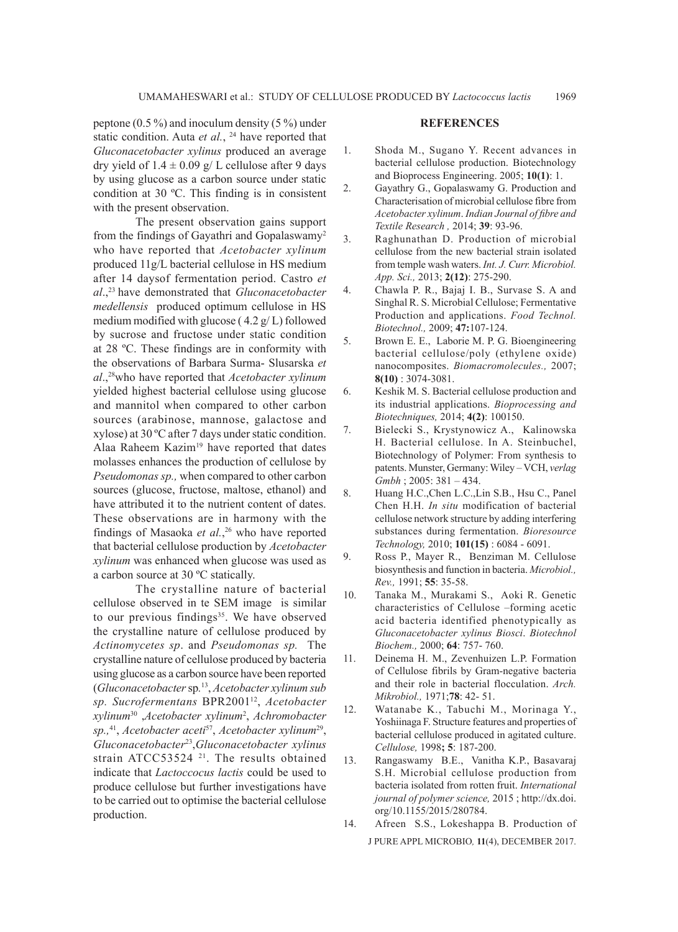peptone (0.5 %) and inoculum density (5 %) under static condition. Auta et al., <sup>24</sup> have reported that *Gluconacetobacter xylinus* produced an average dry yield of  $1.4 \pm 0.09$  g/ L cellulose after 9 days by using glucose as a carbon source under static condition at 30 ºC. This finding is in consistent with the present observation.

The present observation gains support from the findings of Gayathri and Gopalaswamy2 who have reported that *Acetobacter xylinum*  produced 11g/L bacterial cellulose in HS medium after 14 daysof fermentation period. Castro *et al*.,23 have demonstrated that *Gluconacetobacter medellensis* produced optimum cellulose in HS medium modified with glucose ( 4.2 g/ L) followed by sucrose and fructose under static condition at 28 ºC. These findings are in conformity with the observations of Barbara Surma- Slusarska *et al*.,28who have reported that *Acetobacter xylinum* yielded highest bacterial cellulose using glucose and mannitol when compared to other carbon sources (arabinose, mannose, galactose and xylose) at 30 ºC after 7 days under static condition. Alaa Raheem Kazim<sup>19</sup> have reported that dates molasses enhances the production of cellulose by *Pseudomonas sp.,* when compared to other carbon sources (glucose, fructose, maltose, ethanol) and have attributed it to the nutrient content of dates. These observations are in harmony with the findings of Masaoka *et al.*, 26 who have reported that bacterial cellulose production by *Acetobacter xylinum* was enhanced when glucose was used as a carbon source at 30 ºC statically.

The crystalline nature of bacterial cellulose observed in te SEM image is similar to our previous findings $35$ . We have observed the crystalline nature of cellulose produced by *Actinomycetes sp*. and *Pseudomonas sp.* The crystalline nature of cellulose produced by bacteria using glucose as a carbon source have been reported (*Gluconacetobacter* sp*.* 13, *Acetobacter xylinum sub sp. Sucrofermentans* BPR200112, *Acetobacter xylinum*30 ,*Acetobacter xylinum*<sup>2</sup> , *Achromobacter sp.,*41, *Acetobacter aceti*57, *Acetobacter xylinum*29, *Gluconacetobacter*23,*Gluconacetobacter xylinus* strain ATCC53524<sup>21</sup>. The results obtained indicate that *Lactoccocus lactis* could be used to produce cellulose but further investigations have to be carried out to optimise the bacterial cellulose production.

#### **REFERENCES**

- 1. Shoda M., Sugano Y. Recent advances in bacterial cellulose production. Biotechnology and Bioprocess Engineering. 2005; **10(1)**: 1.
- 2. Gayathry G., Gopalaswamy G. Production and Characterisation of microbial cellulose fibre from *Acetobacter xylinum*. *Indian Journal of fibre and Textile Research ,* 2014; **39**: 93-96.
- 3. Raghunathan D. Production of microbial cellulose from the new bacterial strain isolated from temple wash waters. *Int. J. Curr. Microbiol. App. Sci.,* 2013; **2(12)**: 275-290.
- 4. Chawla P. R., Bajaj I. B., Survase S. A and Singhal R. S. Microbial Cellulose; Fermentative Production and applications. *Food Technol. Biotechnol.,* 2009; **47:**107-124.
- 5. Brown E. E., Laborie M. P. G. Bioengineering bacterial cellulose/poly (ethylene oxide) nanocomposites. *Biomacromolecules.,* 2007; **8(10)** : 3074-3081.
- 6. Keshik M. S. Bacterial cellulose production and its industrial applications. *Bioprocessing and Biotechniques,* 2014; **4(2)**: 100150.
- 7. Bielecki S., Krystynowicz A., Kalinowska H. Bacterial cellulose. In A. Steinbuchel, Biotechnology of Polymer: From synthesis to patents. Munster, Germany: Wiley – VCH, *verlag Gmbh* ; 2005: 381 – 434.
- 8. Huang H.C.,Chen L.C.,Lin S.B., Hsu C., Panel Chen H.H. *In situ* modification of bacterial cellulose network structure by adding interfering substances during fermentation. *Bioresource Technology,* 2010; **101(15)** : 6084 - 6091.
- 9. Ross P., Mayer R., Benziman M. Cellulose biosynthesis and function in bacteria. *Microbiol., Rev.,* 1991; **55**: 35-58.
- 10. Tanaka M., Murakami S., Aoki R. Genetic characteristics of Cellulose –forming acetic acid bacteria identified phenotypically as *Gluconacetobacter xylinus Biosci*. *Biotechnol Biochem.,* 2000; **64**: 757- 760.
- 11. Deinema H. M., Zevenhuizen L.P. Formation of Cellulose fibrils by Gram-negative bacteria and their role in bacterial flocculation. *Arch. Mikrobiol.,* 1971;**78**: 42- 51.
- 12. Watanabe K., Tabuchi M., Morinaga Y., Yoshiinaga F. Structure features and properties of bacterial cellulose produced in agitated culture. *Cellulose,* 1998**; 5**: 187-200.
- 13. Rangaswamy B.E., Vanitha K.P., Basavaraj S.H. Microbial cellulose production from bacteria isolated from rotten fruit. *International journal of polymer science,* 2015 ; http://dx.doi. org/10.1155/2015/280784.
- J PURE APPL MICROBIO*,* **11**(4), DECEMBER 2017. 14. Afreen S.S., Lokeshappa B. Production of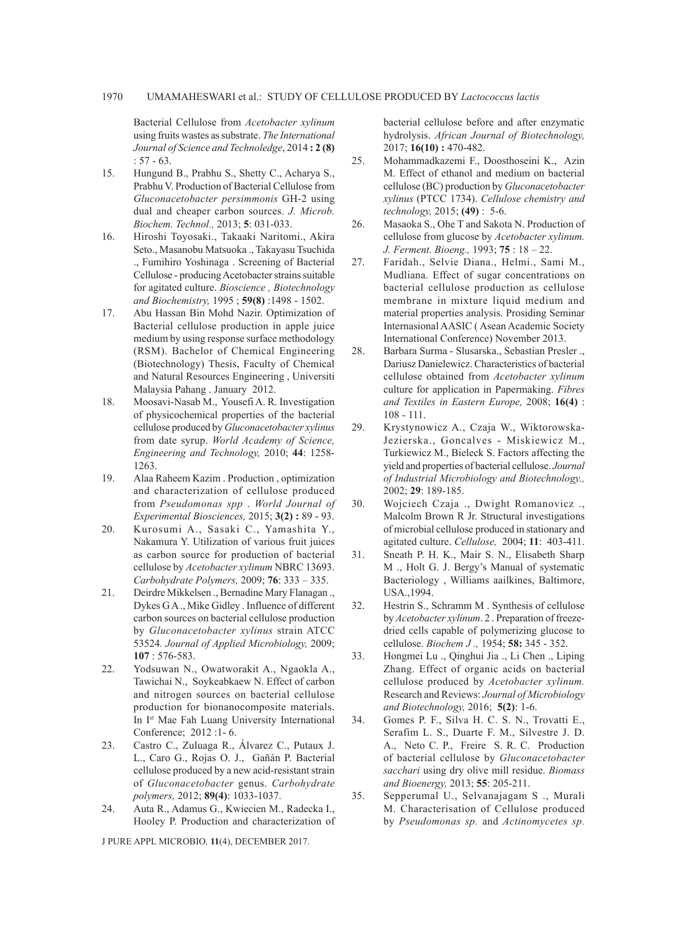Bacterial Cellulose from *Acetobacter xylinum*  using fruits wastes as substrate. *The International Journal of Science and Technoledge*, 2014 **: 2 (8)** : 57 - 63.

- 15. Hungund B., Prabhu S., Shetty C., Acharya S., Prabhu V. Production of Bacterial Cellulose from *Gluconacetobacter persimmonis* GH-2 using dual and cheaper carbon sources. *J. Microb. Biochem. Technol.,* 2013; **5**: 031-033.
- 16. Hiroshi Toyosaki., Takaaki Naritomi., Akira Seto., Masanobu Matsuoka ., Takayasu Tsuchida ., Fumihiro Yoshinaga . Screening of Bacterial Cellulose - producing Acetobacter strains suitable for agitated culture. *Bioscience , Biotechnology and Biochemistry,* 1995 ; **59(8)** :1498 - 1502.
- 17. Abu Hassan Bin Mohd Nazir. Optimization of Bacterial cellulose production in apple juice medium by using response surface methodology (RSM). Bachelor of Chemical Engineering (Biotechnology) Thesis, Faculty of Chemical and Natural Resources Engineering , Universiti Malaysia Pahang . January 2012.
- 18. Moosavi-Nasab M., Yousefi A. R. Investigation of physicochemical properties of the bacterial cellulose produced by *Gluconacetobacter xylinus* from date syrup. *World Academy of Science, Engineering and Technology,* 2010; **44**: 1258- 1263.
- 19. Alaa Raheem Kazim . Production , optimization and characterization of cellulose produced from *Pseudomonas spp* . *World Journal of Experimental Biosciences,* 2015; **3(2) :** 89 - 93.
- 20. Kurosumi A., Sasaki C., Yamashita Y., Nakamura Y. Utilization of various fruit juices as carbon source for production of bacterial cellulose by *Acetobacter xylinum* NBRC 13693. *Carbohydrate Polymers,* 2009; **76**: 333 – 335.
- 21. Deirdre Mikkelsen ., Bernadine Mary Flanagan ., Dykes G A ., Mike Gidley . Influence of different carbon sources on bacterial cellulose production by *Gluconacetobacter xylinus* strain ATCC 53524*. Journal of Applied Microbiology,* 2009; **107** : 576-583.
- 22. Yodsuwan N., Owatworakit A., Ngaokla A., Tawichai N., Soykeabkaew N. Effect of carbon and nitrogen sources on bacterial cellulose production for bionanocomposite materials. In Ist Mae Fah Luang University International Conference; 2012 :1- 6.
- 23. Castro C., Zuluaga R., Álvarez C., Putaux J. L., Caro G., Rojas O. J., Gañán P. Bacterial cellulose produced by a new acid-resistant strain of *Gluconacetobacter* genus. *Carbohydrate polymers,* 2012; **89(4)**: 1033-1037.
- 24. Auta R., Adamus G., Kwiecien M., Radecka I., Hooley P. Production and characterization of

J PURE APPL MICROBIO*,* **11**(4), DECEMBER 2017.

bacterial cellulose before and after enzymatic hydrolysis. *African Journal of Biotechnology,*  2017; **16(10) :** 470-482.

- 25. Mohammadkazemi F., Doosthoseini K., Azin M. Effect of ethanol and medium on bacterial cellulose (BC) production by *Gluconacetobacter xylinus* (PTCC 1734). *Cellulose chemistry and technology,* 2015; **(49)** : 5-6.
- 26. Masaoka S., Ohe T and Sakota N. Production of cellulose from glucose by *Acetobacter xylinum. J. Ferment. Bioeng.,* 1993; **75** : 18 – 22.
- 27. Faridah., Selvie Diana., Helmi., Sami M., Mudliana. Effect of sugar concentrations on bacterial cellulose production as cellulose membrane in mixture liquid medium and material properties analysis. Prosiding Seminar Internasional AASIC ( Asean Academic Society International Conference) November 2013.
- 28. Barbara Surma Slusarska., Sebastian Presler ., Dariusz Danielewicz. Characteristics of bacterial cellulose obtained from *Acetobacter xylinum* culture for application in Papermaking. *Fibres and Textiles in Eastern Europe,* 2008; **16(4)** : 108 - 111.
- 29. Krystynowicz A., Czaja W., Wiktorowska-Jezierska., Goncalves - Miskiewicz M., Turkiewicz M., Bieleck S. Factors affecting the yield and properties of bacterial cellulose. *Journal of Industrial Microbiology and Biotechnology.,*  2002; **29**: 189-185.
- 30. Wojciech Czaja ., Dwight Romanovicz ., Malcolm Brown R Jr. Structural investigations of microbial cellulose produced in stationary and agitated culture. *Cellulose,* 2004; **11**: 403-411.
- 31. Sneath P. H. K., Mair S. N., Elisabeth Sharp M ., Holt G. J. Bergy's Manual of systematic Bacteriology , Williams aailkines, Baltimore, USA.,1994.
- 32. Hestrin S., Schramm M . Synthesis of cellulose by *Acetobacter xylinum*. 2 . Preparation of freezedried cells capable of polymerizing glucose to cellulose. *Biochem J .,* 1954; **58:** 345 - 352.
- 33. Hongmei Lu ., Qinghui Jia ., Li Chen ., Liping Zhang. Effect of organic acids on bacterial cellulose produced by *Acetobacter xylinum.* Research and Reviews: *Journal of Microbiology and Biotechnology,* 2016; **5(2)**: 1-6.
- 34. Gomes P. F., Silva H. C. S. N., Trovatti E., Serafim L. S., Duarte F. M., Silvestre J. D. A., Neto C. P., Freire S. R. C. Production of bacterial cellulose by *Gluconacetobacter sacchari* using dry olive mill residue. *Biomass and Bioenergy,* 2013; **55**: 205-211.
- 35. Sepperumal U., Selvanajagam S ., Murali M. Characterisation of Cellulose produced by *Pseudomonas sp.* and *Actinomycetes sp.*